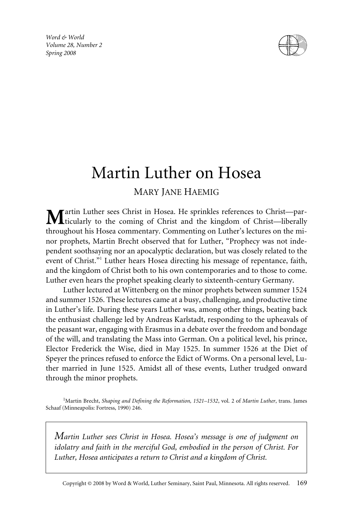*Word & World Volume 28, Number 2 Spring 2008*



# Martin Luther on Hosea

# MARY JANE HAEMIG

artin Luther sees Christ in Hosea. He sprinkles references to Christ—particularly to the coming of Christ and the kingdom of Christ—liberally throughout his Hosea commentary. Commenting on Luther's lectures on the minor prophets, Martin Brecht observed that for Luther, "Prophecy was not independent soothsaying nor an apocalyptic declaration, but was closely related to the event of Christ."<sup>1</sup> Luther hears Hosea directing his message of repentance, faith, and the kingdom of Christ both to his own contemporaries and to those to come. Luther even hears the prophet speaking clearly to sixteenth-century Germany.

Luther lectured at Wittenberg on the minor prophets between summer 1524 and summer 1526. These lectures came at a busy, challenging, and productive time in Luther's life. During these years Luther was, among other things, beating back the enthusiast challenge led by Andreas Karlstadt, responding to the upheavals of the peasant war, engaging with Erasmus in a debate over the freedom and bondage of the will, and translating the Mass into German. On a political level, his prince, Elector Frederick the Wise, died in May 1525. In summer 1526 at the Diet of Speyer the princes refused to enforce the Edict of Worms. On a personal level, Luther married in June 1525. Amidst all of these events, Luther trudged onward through the minor prophets.

1 Martin Brecht, *Shaping and Defining the Reformation, 1521–1532*, vol. 2 of *Martin Luther*, trans. James Schaaf (Minneapolis: Fortress, 1990) 246.

*Martin Luther sees Christ in Hosea. Hosea's message is one of judgment on idolatry and faith in the merciful God, embodied in the person of Christ. For Luther, Hosea anticipates a return to Christ and a kingdom of Christ.*

Copyright © 2008 by Word & World, Luther Seminary, Saint Paul, Minnesota. All rights reserved. 169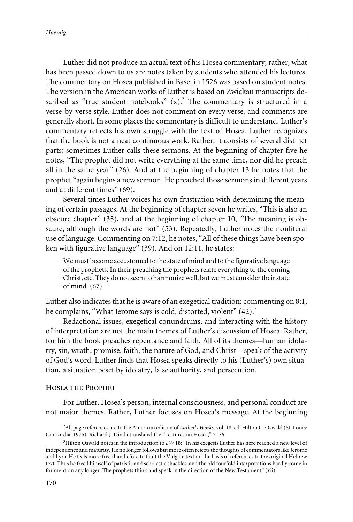Luther did not produce an actual text of his Hosea commentary; rather, what has been passed down to us are notes taken by students who attended his lectures. The commentary on Hosea published in Basel in 1526 was based on student notes. The version in the American works of Luther is based on Zwickau manuscripts described as "true student notebooks"  $(x)$ .<sup>2</sup> The commentary is structured in a verse-by-verse style. Luther does not comment on every verse, and comments are generally short. In some places the commentary is difficult to understand. Luther's commentary reflects his own struggle with the text of Hosea. Luther recognizes that the book is not a neat continuous work. Rather, it consists of several distinct parts; sometimes Luther calls these sermons. At the beginning of chapter five he notes, "The prophet did not write everything at the same time, nor did he preach all in the same year" (26). And at the beginning of chapter 13 he notes that the prophet "again begins a new sermon. He preached those sermons in different years and at different times" (69).

Several times Luther voices his own frustration with determining the meaning of certain passages. At the beginning of chapter seven he writes, "This is also an obscure chapter" (35), and at the beginning of chapter 10, "The meaning is obscure, although the words are not" (53). Repeatedly, Luther notes the nonliteral use of language. Commenting on 7:12, he notes, "All of these things have been spoken with figurative language" (39). And on 12:11, he states:

We must become accustomed to the state of mind and to the figurative language of the prophets. In their preaching the prophets relate everything to the coming Christ, etc. They do not seem to harmonize well, but we must consider their state of mind. (67)

Luther also indicates that he is aware of an exegetical tradition: commenting on 8:1, he complains, "What Jerome says is cold, distorted, violent" (42).<sup>3</sup>

Redactional issues, exegetical conundrums, and interacting with the history of interpretation are not the main themes of Luther's discussion of Hosea. Rather, for him the book preaches repentance and faith. All of its themes—human idolatry, sin, wrath, promise, faith, the nature of God, and Christ—speak of the activity of God's word. Luther finds that Hosea speaks directly to his (Luther's) own situation, a situation beset by idolatry, false authority, and persecution.

#### **HOSEA THE PROPHET**

For Luther, Hosea's person, internal consciousness, and personal conduct are not major themes. Rather, Luther focuses on Hosea's message. At the beginning

<sup>2</sup> All page references are to the American edition of *Luther's Works,* vol. 18, ed. Hilton C. Oswald (St. Louis: Concordia: 1975). Richard J. Dinda translated the "Lectures on Hosea," 3–76.

<sup>&</sup>lt;sup>3</sup>Hilton Oswald notes in the introduction to *LW* 18: "In his exegesis Luther has here reached a new level of independence and maturity. He no longer follows but more often rejects the thoughts of commentators like Jerome and Lyra. He feels more free than before to fault the Vulgate text on the basis of references to the original Hebrew text. Thus he freed himself of patristic and scholastic shackles, and the old fourfold interpretations hardly come in for mention any longer. The prophets think and speak in the direction of the New Testament" (xii).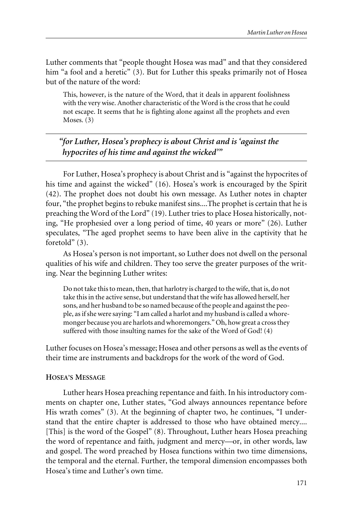Luther comments that "people thought Hosea was mad" and that they considered him "a fool and a heretic" (3). But for Luther this speaks primarily not of Hosea but of the nature of the word:

This, however, is the nature of the Word, that it deals in apparent foolishness with the very wise. Another characteristic of the Word is the cross that he could not escape. It seems that he is fighting alone against all the prophets and even Moses. (3)

*"for Luther, Hosea's prophecy is about Christ and is 'against the hypocrites of his time and against the wicked'"*

For Luther, Hosea's prophecy is about Christ and is "against the hypocrites of his time and against the wicked" (16). Hosea's work is encouraged by the Spirit (42). The prophet does not doubt his own message. As Luther notes in chapter four, "the prophet begins to rebuke manifest sins....The prophet is certain that he is preaching the Word of the Lord" (19). Luther tries to place Hosea historically, noting, "He prophesied over a long period of time, 40 years or more" (26). Luther speculates, "The aged prophet seems to have been alive in the captivity that he foretold" (3).

As Hosea's person is not important, so Luther does not dwell on the personal qualities of his wife and children. They too serve the greater purposes of the writing. Near the beginning Luther writes:

Do not take this to mean, then, that harlotry is charged to the wife, that is, do not take this in the active sense, but understand that the wife has allowed herself, her sons, and her husband to be so named because of the people and against the people, as if she were saying: "I am called a harlot and my husband is called a whoremonger because you are harlots and whoremongers." Oh, how great a cross they suffered with those insulting names for the sake of the Word of God! (4)

Luther focuses on Hosea's message; Hosea and other persons as well as the events of their time are instruments and backdrops for the work of the word of God.

## **HOSEA'S MESSAGE**

Luther hears Hosea preaching repentance and faith. In his introductory comments on chapter one, Luther states, "God always announces repentance before His wrath comes" (3). At the beginning of chapter two, he continues, "I understand that the entire chapter is addressed to those who have obtained mercy.... [This] is the word of the Gospel" (8). Throughout, Luther hears Hosea preaching the word of repentance and faith, judgment and mercy—or, in other words, law and gospel. The word preached by Hosea functions within two time dimensions, the temporal and the eternal. Further, the temporal dimension encompasses both Hosea's time and Luther's own time.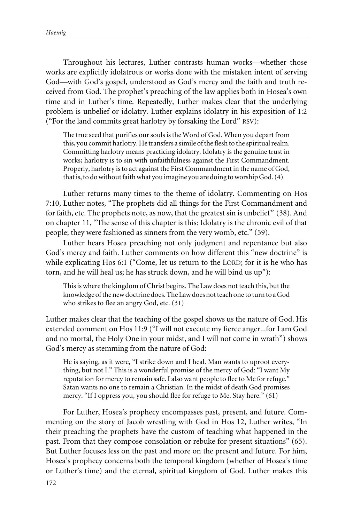Throughout his lectures, Luther contrasts human works—whether those works are explicitly idolatrous or works done with the mistaken intent of serving God—with God's gospel, understood as God's mercy and the faith and truth received from God. The prophet's preaching of the law applies both in Hosea's own time and in Luther's time. Repeatedly, Luther makes clear that the underlying problem is unbelief or idolatry. Luther explains idolatry in his exposition of 1:2 ("For the land commits great harlotry by forsaking the Lord" RSV):

The true seed that purifies our souls is the Word of God. When you depart from this, you commit harlotry. He transfers a simile of the flesh to the spiritual realm. Committing harlotry means practicing idolatry. Idolatry is the genuine trust in works; harlotry is to sin with unfaithfulness against the First Commandment. Properly, harlotry is to act against the First Commandment in the name of God, that is, to do without faith what you imagine you are doing to worship God. (4)

Luther returns many times to the theme of idolatry. Commenting on Hos 7:10, Luther notes, "The prophets did all things for the First Commandment and for faith, etc. The prophets note, as now, that the greatest sin is unbelief" (38). And on chapter 11, "The sense of this chapter is this: Idolatry is the chronic evil of that people; they were fashioned as sinners from the very womb, etc." (59).

Luther hears Hosea preaching not only judgment and repentance but also God's mercy and faith. Luther comments on how different this "new doctrine" is while explicating Hos 6:1 ("Come, let us return to the LORD; for it is he who has torn, and he will heal us; he has struck down, and he will bind us up"):

This is where the kingdom of Christ begins. The Law does not teach this, but the knowledge of the new doctrine does. The Law does not teach one to turn to a God who strikes to flee an angry God, etc. (31)

Luther makes clear that the teaching of the gospel shows us the nature of God. His extended comment on Hos 11:9 ("I will not execute my fierce anger...for I am God and no mortal, the Holy One in your midst, and I will not come in wrath") shows God's mercy as stemming from the nature of God:

He is saying, as it were, "I strike down and I heal. Man wants to uproot everything, but not I." This is a wonderful promise of the mercy of God: "I want My reputation for mercy to remain safe. I also want people to flee to Me for refuge." Satan wants no one to remain a Christian. In the midst of death God promises mercy. "If I oppress you, you should flee for refuge to Me. Stay here." (61)

For Luther, Hosea's prophecy encompasses past, present, and future. Commenting on the story of Jacob wrestling with God in Hos 12, Luther writes, "In their preaching the prophets have the custom of teaching what happened in the past. From that they compose consolation or rebuke for present situations" (65). But Luther focuses less on the past and more on the present and future. For him, Hosea's prophecy concerns both the temporal kingdom (whether of Hosea's time or Luther's time) and the eternal, spiritual kingdom of God. Luther makes this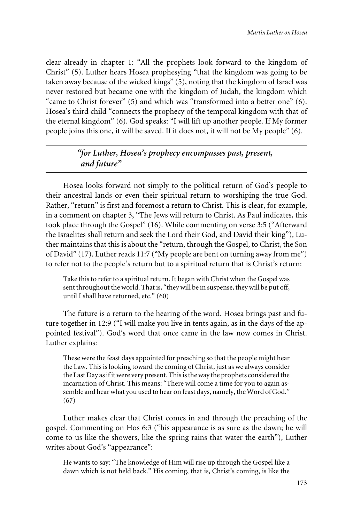clear already in chapter 1: "All the prophets look forward to the kingdom of Christ" (5). Luther hears Hosea prophesying "that the kingdom was going to be taken away because of the wicked kings" (5), noting that the kingdom of Israel was never restored but became one with the kingdom of Judah, the kingdom which "came to Christ forever" (5) and which was "transformed into a better one" (6). Hosea's third child "connects the prophecy of the temporal kingdom with that of the eternal kingdom" (6). God speaks: "I will lift up another people. If My former people joins this one, it will be saved. If it does not, it will not be My people" (6).

## *"for Luther, Hosea's prophecy encompasses past, present, and future"*

Hosea looks forward not simply to the political return of God's people to their ancestral lands or even their spiritual return to worshiping the true God. Rather, "return" is first and foremost a return to Christ. This is clear, for example, in a comment on chapter 3, "The Jews will return to Christ. As Paul indicates, this took place through the Gospel" (16). While commenting on verse 3:5 ("Afterward the Israelites shall return and seek the Lord their God, and David their king"), Luther maintains that this is about the "return, through the Gospel, to Christ, the Son of David" (17). Luther reads 11:7 ("My people are bent on turning away from me") to refer not to the people's return but to a spiritual return that is Christ's return:

Take this to refer to a spiritual return. It began with Christ when the Gospel was sent throughout the world. That is, "they will be in suspense, they will be put off, until I shall have returned, etc." (60)

The future is a return to the hearing of the word. Hosea brings past and future together in 12:9 ("I will make you live in tents again, as in the days of the appointed festival"). God's word that once came in the law now comes in Christ. Luther explains:

These were the feast days appointed for preaching so that the people might hear the Law. This is looking toward the coming of Christ, just as we always consider the Last Day as if it were very present. This is the way the prophets considered the incarnation of Christ. This means: "There will come a time for you to again assemble and hear what you used to hear on feast days, namely, the Word of God." (67)

Luther makes clear that Christ comes in and through the preaching of the gospel. Commenting on Hos 6:3 ("his appearance is as sure as the dawn; he will come to us like the showers, like the spring rains that water the earth"), Luther writes about God's "appearance":

He wants to say: "The knowledge of Him will rise up through the Gospel like a dawn which is not held back." His coming, that is, Christ's coming, is like the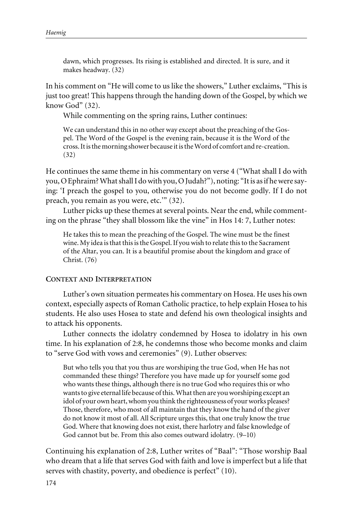dawn, which progresses. Its rising is established and directed. It is sure, and it makes headway. (32)

In his comment on "He will come to us like the showers," Luther exclaims, "This is just too great! This happens through the handing down of the Gospel, by which we know God" (32).

While commenting on the spring rains, Luther continues:

We can understand this in no other way except about the preaching of the Gospel. The Word of the Gospel is the evening rain, because it is the Word of the cross. It is the morning shower because it is the Word of comfort and re-creation. (32)

He continues the same theme in his commentary on verse 4 ("What shall I do with you, O Ephraim? What shall I do with you, O Judah?"), noting: "It is as if he were saying: 'I preach the gospel to you, otherwise you do not become godly. If I do not preach, you remain as you were, etc.'" (32).

Luther picks up these themes at several points. Near the end, while commenting on the phrase "they shall blossom like the vine" in Hos 14: 7, Luther notes:

He takes this to mean the preaching of the Gospel. The wine must be the finest wine. My idea is that this is the Gospel. If you wish to relate this to the Sacrament of the Altar, you can. It is a beautiful promise about the kingdom and grace of Christ. (76)

### **CONTEXT AND INTERPRETATION**

Luther's own situation permeates his commentary on Hosea. He uses his own context, especially aspects of Roman Catholic practice, to help explain Hosea to his students. He also uses Hosea to state and defend his own theological insights and to attack his opponents.

Luther connects the idolatry condemned by Hosea to idolatry in his own time. In his explanation of 2:8, he condemns those who become monks and claim to "serve God with vows and ceremonies" (9). Luther observes:

But who tells you that you thus are worshiping the true God, when He has not commanded these things? Therefore you have made up for yourself some god who wants these things, although there is no true God who requires this or who wants to give eternal life because of this. What then are you worshiping except an idol of your own heart, whom you think the righteousness of your works pleases? Those, therefore, who most of all maintain that they know the hand of the giver do not know it most of all. All Scripture urges this, that one truly know the true God. Where that knowing does not exist, there harlotry and false knowledge of God cannot but be. From this also comes outward idolatry. (9–10)

Continuing his explanation of 2:8, Luther writes of "Baal": "Those worship Baal who dream that a life that serves God with faith and love is imperfect but a life that serves with chastity, poverty, and obedience is perfect" (10).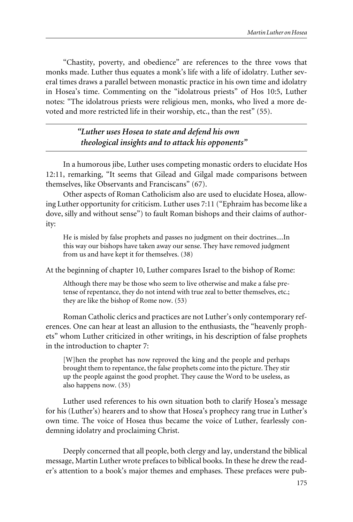"Chastity, poverty, and obedience" are references to the three vows that monks made. Luther thus equates a monk's life with a life of idolatry. Luther several times draws a parallel between monastic practice in his own time and idolatry in Hosea's time. Commenting on the "idolatrous priests" of Hos 10:5, Luther notes: "The idolatrous priests were religious men, monks, who lived a more devoted and more restricted life in their worship, etc., than the rest" (55).

> *"Luther uses Hosea to state and defend his own theological insights and to attack his opponents"*

In a humorous jibe, Luther uses competing monastic orders to elucidate Hos 12:11, remarking, "It seems that Gilead and Gilgal made comparisons between themselves, like Observants and Franciscans" (67).

Other aspects of Roman Catholicism also are used to elucidate Hosea, allowing Luther opportunity for criticism. Luther uses 7:11 ("Ephraim has become like a dove, silly and without sense") to fault Roman bishops and their claims of authority:

He is misled by false prophets and passes no judgment on their doctrines....In this way our bishops have taken away our sense. They have removed judgment from us and have kept it for themselves. (38)

At the beginning of chapter 10, Luther compares Israel to the bishop of Rome:

Although there may be those who seem to live otherwise and make a false pretense of repentance, they do not intend with true zeal to better themselves, etc.; they are like the bishop of Rome now. (53)

Roman Catholic clerics and practices are not Luther's only contemporary references. One can hear at least an allusion to the enthusiasts, the "heavenly prophets" whom Luther criticized in other writings, in his description of false prophets in the introduction to chapter 7:

[W]hen the prophet has now reproved the king and the people and perhaps brought them to repentance, the false prophets come into the picture. They stir up the people against the good prophet. They cause the Word to be useless, as also happens now. (35)

Luther used references to his own situation both to clarify Hosea's message for his (Luther's) hearers and to show that Hosea's prophecy rang true in Luther's own time. The voice of Hosea thus became the voice of Luther, fearlessly condemning idolatry and proclaiming Christ.

Deeply concerned that all people, both clergy and lay, understand the biblical message, Martin Luther wrote prefaces to biblical books. In these he drew the reader's attention to a book's major themes and emphases. These prefaces were pub